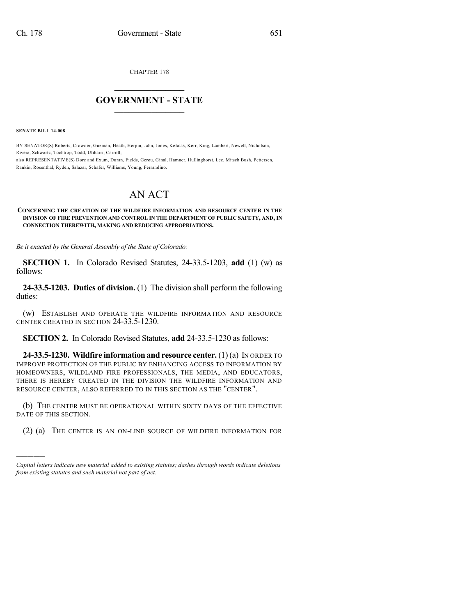CHAPTER 178

## $\mathcal{L}_\text{max}$  . The set of the set of the set of the set of the set of the set of the set of the set of the set of the set of the set of the set of the set of the set of the set of the set of the set of the set of the set **GOVERNMENT - STATE**  $\_$   $\_$   $\_$   $\_$   $\_$   $\_$   $\_$   $\_$

**SENATE BILL 14-008**

)))))

BY SENATOR(S) Roberts, Crowder, Guzman, Heath, Herpin, Jahn, Jones, Kefalas, Kerr, King, Lambert, Newell, Nicholson, Rivera, Schwartz, Tochtrop, Todd, Ulibarri, Carroll; also REPRESENTATIVE(S) Dore and Exum, Duran, Fields, Gerou, Ginal, Hamner, Hullinghorst, Lee, Mitsch Bush, Pettersen, Rankin, Rosenthal, Ryden, Salazar, Schafer, Williams, Young, Ferrandino.

## AN ACT

## **CONCERNING THE CREATION OF THE WILDFIRE INFORMATION AND RESOURCE CENTER IN THE DIVISION OF FIRE PREVENTION AND CONTROL IN THE DEPARTMENT OF PUBLIC SAFETY, AND, IN CONNECTION THEREWITH, MAKING AND REDUCING APPROPRIATIONS.**

*Be it enacted by the General Assembly of the State of Colorado:*

**SECTION 1.** In Colorado Revised Statutes, 24-33.5-1203, **add** (1) (w) as follows:

**24-33.5-1203. Duties of division.** (1) The division shall perform the following duties:

(w) ESTABLISH AND OPERATE THE WILDFIRE INFORMATION AND RESOURCE CENTER CREATED IN SECTION 24-33.5-1230.

**SECTION 2.** In Colorado Revised Statutes, **add** 24-33.5-1230 as follows:

**24-33.5-1230. Wildfire information and resource center.** (1)(a) IN ORDER TO IMPROVE PROTECTION OF THE PUBLIC BY ENHANCING ACCESS TO INFORMATION BY HOMEOWNERS, WILDLAND FIRE PROFESSIONALS, THE MEDIA, AND EDUCATORS, THERE IS HEREBY CREATED IN THE DIVISION THE WILDFIRE INFORMATION AND RESOURCE CENTER, ALSO REFERRED TO IN THIS SECTION AS THE "CENTER".

(b) THE CENTER MUST BE OPERATIONAL WITHIN SIXTY DAYS OF THE EFFECTIVE DATE OF THIS SECTION.

(2) (a) THE CENTER IS AN ON-LINE SOURCE OF WILDFIRE INFORMATION FOR

*Capital letters indicate new material added to existing statutes; dashes through words indicate deletions from existing statutes and such material not part of act.*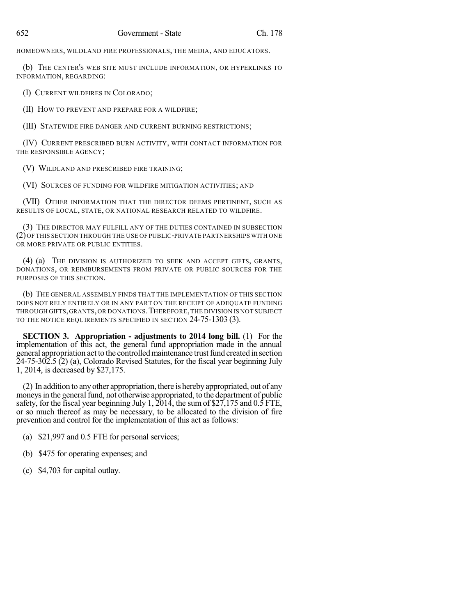HOMEOWNERS, WILDLAND FIRE PROFESSIONALS, THE MEDIA, AND EDUCATORS.

(b) THE CENTER'S WEB SITE MUST INCLUDE INFORMATION, OR HYPERLINKS TO INFORMATION, REGARDING:

(I) CURRENT WILDFIRES IN COLORADO;

(II) HOW TO PREVENT AND PREPARE FOR A WILDFIRE;

(III) STATEWIDE FIRE DANGER AND CURRENT BURNING RESTRICTIONS;

(IV) CURRENT PRESCRIBED BURN ACTIVITY, WITH CONTACT INFORMATION FOR THE RESPONSIBLE AGENCY;

(V) WILDLAND AND PRESCRIBED FIRE TRAINING;

(VI) SOURCES OF FUNDING FOR WILDFIRE MITIGATION ACTIVITIES; AND

(VII) OTHER INFORMATION THAT THE DIRECTOR DEEMS PERTINENT, SUCH AS RESULTS OF LOCAL, STATE, OR NATIONAL RESEARCH RELATED TO WILDFIRE.

(3) THE DIRECTOR MAY FULFILL ANY OF THE DUTIES CONTAINED IN SUBSECTION (2)OF THIS SECTION THROUGH THE USE OF PUBLIC-PRIVATE PARTNERSHIPS WITH ONE OR MORE PRIVATE OR PUBLIC ENTITIES.

(4) (a) THE DIVISION IS AUTHORIZED TO SEEK AND ACCEPT GIFTS, GRANTS, DONATIONS, OR REIMBURSEMENTS FROM PRIVATE OR PUBLIC SOURCES FOR THE PURPOSES OF THIS SECTION.

(b) THE GENERAL ASSEMBLY FINDS THAT THE IMPLEMENTATION OF THIS SECTION DOES NOT RELY ENTIRELY OR IN ANY PART ON THE RECEIPT OF ADEQUATE FUNDING THROUGH GIFTS,GRANTS,OR DONATIONS.THEREFORE,THE DIVISION IS NOT SUBJECT TO THE NOTICE REQUIREMENTS SPECIFIED IN SECTION 24-75-1303 (3).

**SECTION 3. Appropriation - adjustments to 2014 long bill.** (1) For the implementation of this act, the general fund appropriation made in the annual general appropriation act to the controlled maintenance trust fund created in section 24-75-302.5 (2) (a), Colorado Revised Statutes, for the fiscal year beginning July 1, 2014, is decreased by \$27,175.

(2) In addition to anyother appropriation, there is herebyappropriated, out of any moneys in the general fund, not otherwise appropriated, to the department of public safety, for the fiscal year beginning July 1,  $2014$ , the sum of \$27,175 and 0.5 FTE, or so much thereof as may be necessary, to be allocated to the division of fire prevention and control for the implementation of this act as follows:

- (a) \$21,997 and 0.5 FTE for personal services;
- (b) \$475 for operating expenses; and
- (c) \$4,703 for capital outlay.